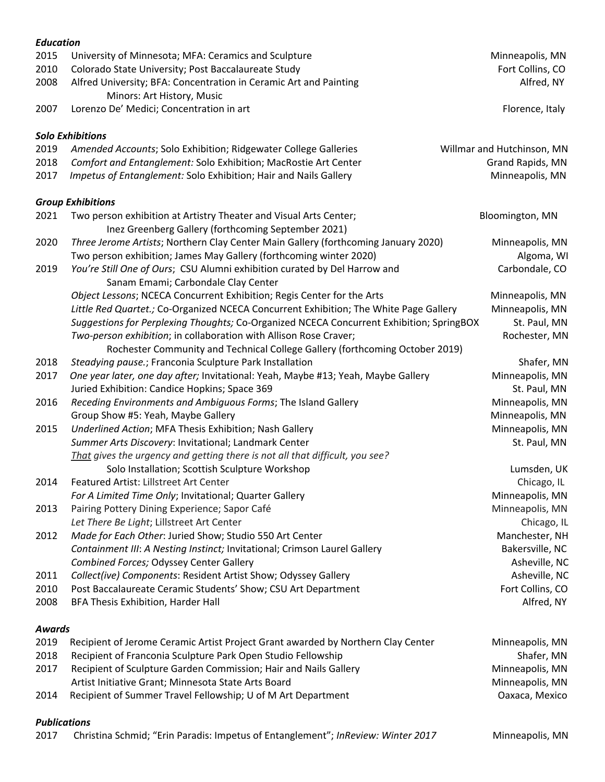| <b>Education</b> |                                                                                                                                      |                                   |
|------------------|--------------------------------------------------------------------------------------------------------------------------------------|-----------------------------------|
| 2015             | University of Minnesota; MFA: Ceramics and Sculpture                                                                                 | Minneapolis, MN                   |
| 2010             | Colorado State University; Post Baccalaureate Study                                                                                  | Fort Collins, CO                  |
| 2008             | Alfred University; BFA: Concentration in Ceramic Art and Painting<br>Minors: Art History, Music                                      | Alfred, NY                        |
| 2007             | Lorenzo De' Medici; Concentration in art                                                                                             | Florence, Italy                   |
|                  | <b>Solo Exhibitions</b>                                                                                                              |                                   |
| 2019             | Amended Accounts; Solo Exhibition; Ridgewater College Galleries                                                                      | Willmar and Hutchinson, MN        |
| 2018             | Comfort and Entanglement: Solo Exhibition; MacRostie Art Center                                                                      | Grand Rapids, MN                  |
| 2017             | Impetus of Entanglement: Solo Exhibition; Hair and Nails Gallery                                                                     | Minneapolis, MN                   |
|                  | <b>Group Exhibitions</b>                                                                                                             |                                   |
| 2021             | Two person exhibition at Artistry Theater and Visual Arts Center;                                                                    | Bloomington, MN                   |
|                  | Inez Greenberg Gallery (forthcoming September 2021)                                                                                  |                                   |
| 2020             | Three Jerome Artists; Northern Clay Center Main Gallery (forthcoming January 2020)                                                   | Minneapolis, MN                   |
|                  | Two person exhibition; James May Gallery (forthcoming winter 2020)                                                                   | Algoma, WI                        |
| 2019             | You're Still One of Ours; CSU Alumni exhibition curated by Del Harrow and                                                            | Carbondale, CO                    |
|                  | Sanam Emami; Carbondale Clay Center                                                                                                  |                                   |
|                  | Object Lessons; NCECA Concurrent Exhibition; Regis Center for the Arts                                                               | Minneapolis, MN                   |
|                  | Little Red Quartet.; Co-Organized NCECA Concurrent Exhibition; The White Page Gallery                                                | Minneapolis, MN                   |
|                  | Suggestions for Perplexing Thoughts; Co-Organized NCECA Concurrent Exhibition; SpringBOX                                             | St. Paul, MN                      |
|                  | Two-person exhibition; in collaboration with Allison Rose Craver;                                                                    | Rochester, MN                     |
|                  | Rochester Community and Technical College Gallery (forthcoming October 2019)                                                         |                                   |
| 2018             | Steadying pause.; Franconia Sculpture Park Installation                                                                              | Shafer, MN                        |
| 2017             | One year later, one day after; Invitational: Yeah, Maybe #13; Yeah, Maybe Gallery                                                    | Minneapolis, MN                   |
|                  | Juried Exhibition: Candice Hopkins; Space 369                                                                                        | St. Paul, MN                      |
| 2016             | Receding Environments and Ambiguous Forms; The Island Gallery                                                                        | Minneapolis, MN                   |
|                  | Group Show #5: Yeah, Maybe Gallery                                                                                                   | Minneapolis, MN                   |
| 2015             | Underlined Action; MFA Thesis Exhibition; Nash Gallery                                                                               | Minneapolis, MN                   |
|                  | Summer Arts Discovery: Invitational; Landmark Center                                                                                 | St. Paul, MN                      |
|                  | That gives the urgency and getting there is not all that difficult, you see?                                                         |                                   |
|                  | Solo Installation; Scottish Sculpture Workshop                                                                                       | Lumsden, UK                       |
| 2014             | Featured Artist: Lillstreet Art Center                                                                                               | Chicago, IL                       |
|                  | For A Limited Time Only; Invitational; Quarter Gallery                                                                               | Minneapolis, MN                   |
| 2013             | Pairing Pottery Dining Experience; Sapor Café                                                                                        | Minneapolis, MN                   |
|                  | Let There Be Light; Lillstreet Art Center                                                                                            | Chicago, IL                       |
| 2012             | Made for Each Other: Juried Show; Studio 550 Art Center<br>Containment III: A Nesting Instinct; Invitational; Crimson Laurel Gallery | Manchester, NH<br>Bakersville, NC |
|                  | Combined Forces; Odyssey Center Gallery                                                                                              | Asheville, NC                     |
| 2011             | Collect(ive) Components: Resident Artist Show; Odyssey Gallery                                                                       | Asheville, NC                     |
| 2010             | Post Baccalaureate Ceramic Students' Show; CSU Art Department                                                                        | Fort Collins, CO                  |
| 2008             | BFA Thesis Exhibition, Harder Hall                                                                                                   | Alfred, NY                        |
|                  |                                                                                                                                      |                                   |
| Awards           |                                                                                                                                      |                                   |
| 2019             | Recipient of Jerome Ceramic Artist Project Grant awarded by Northern Clay Center                                                     | Minneapolis, MN                   |
| 2018             | Recipient of Franconia Sculpture Park Open Studio Fellowship                                                                         | Shafer, MN                        |
| 2017             | Recipient of Sculpture Garden Commission; Hair and Nails Gallery                                                                     | Minneapolis, MN                   |

Artist Initiative Grant; Minnesota State Arts Board Minneapolis, MN

2014 Recipient of Summer Travel Fellowship; U of M Art Department Casses Controller and Mexico

## *Publications*